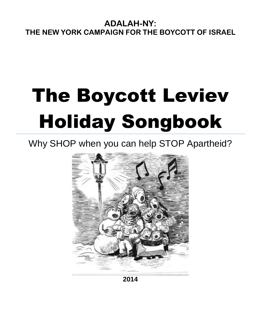# The Boycott Leviev Holiday Songbook

### Why SHOP when you can help STOP Apartheid?



**2014**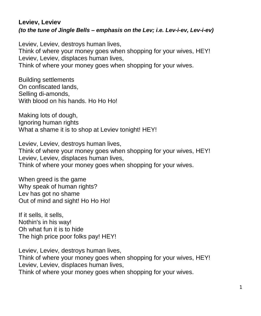#### **Leviev, Leviev** *(to the tune of Jingle Bells – emphasis on the Lev; i.e. Lev-i-ev, Lev-i-ev)*

Leviev, Leviev, destroys human lives, Think of where your money goes when shopping for your wives, HEY! Leviev, Leviev, displaces human lives, Think of where your money goes when shopping for your wives.

Building settlements On confiscated lands, Selling di-amonds, With blood on his hands. Ho Ho Ho!

Making lots of dough, Ignoring human rights What a shame it is to shop at Leviev tonight! HEY!

Leviev, Leviev, destroys human lives, Think of where your money goes when shopping for your wives, HEY! Leviev, Leviev, displaces human lives, Think of where your money goes when shopping for your wives.

When greed is the game Why speak of human rights? Lev has got no shame Out of mind and sight! Ho Ho Ho!

If it sells, it sells, Nothin's in his way! Oh what fun it is to hide The high price poor folks pay! HEY!

Leviev, Leviev, destroys human lives, Think of where your money goes when shopping for your wives, HEY! Leviev, Leviev, displaces human lives, Think of where your money goes when shopping for your wives.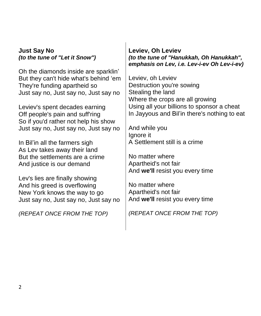#### **Just Say No** *(to the tune of "Let it Snow")*

Oh the diamonds inside are sparklin' But they can't hide what's behind 'em They're funding apartheid so Just say no, Just say no, Just say no

Leviev's spent decades earning Off people's pain and suff'ring So if you'd rather not help his show Just say no, Just say no, Just say no

In Bil'in all the farmers sigh As Lev takes away their land But the settlements are a crime And justice is our demand

Lev's lies are finally showing And his greed is overflowing New York knows the way to go Just say no, Just say no, Just say no

*(REPEAT ONCE FROM THE TOP)*

**Leviev, Oh Leviev** *(to the tune of "Hanukkah, Oh Hanukkah", emphasis on Lev, i.e. Lev-i-ev Oh Lev-i-ev)*

Leviev, oh Leviev Destruction you're sowing Stealing the land Where the crops are all growing Using all your billions to sponsor a cheat In Jayyous and Bil'in there's nothing to eat

And while you Ignore it A Settlement still is a crime

No matter where Apartheid's not fair And **we'll** resist you every time

No matter where Apartheid's not fair And **we'll** resist you every time

*(REPEAT ONCE FROM THE TOP)*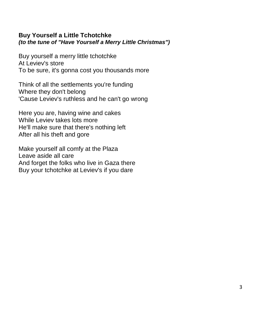#### **Buy Yourself a Little Tchotchke** *(to the tune of "Have Yourself a Merry Little Christmas")*

Buy yourself a merry little tchotchke At Leviev's store To be sure, it's gonna cost you thousands more

Think of all the settlements you're funding Where they don't belong 'Cause Leviev's ruthless and he can't go wrong

Here you are, having wine and cakes While Leviev takes lots more He'll make sure that there's nothing left After all his theft and gore

Make yourself all comfy at the Plaza Leave aside all care And forget the folks who live in Gaza there Buy your tchotchke at Leviev's if you dare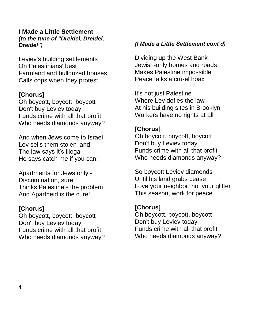#### **I Made a Little Settlement** *(to the tune of "Dreidel, Dreidel, Dreidel")*

Leviev's building settlements On Palestinians' best Farmland and bulldozed houses Calls cops when they protest!

#### **[Chorus]**

Oh boycott, boycott, boycott Don't buy Leviev today Funds crime with all that profit Who needs diamonds anyway?

And when Jews come to Israel Lev sells them stolen land The law says it's illegal He says catch me if you can!

Apartments for Jews only - Discrimination, sure! Thinks Palestine's the problem And Apartheid is the cure!

#### **[Chorus]**

Oh boycott, boycott, boycott Don't buy Leviev today Funds crime with all that profit Who needs diamonds anyway?

#### *(I Made a Little Settlement cont'd)*

Dividing up the West Bank Jewish-only homes and roads Makes Palestine impossible Peace talks a cru-el hoax

It's not just Palestine Where Lev defies the law At his building sites in Brooklyn Workers have no rights at all

#### **[Chorus]**

Oh boycott, boycott, boycott Don't buy Leviev today Funds crime with all that profit Who needs diamonds anyway?

So boycott Leviev diamonds Until his land grabs cease Love your neighbor, not your glitter This season, work for peace

#### **[Chorus]**

Oh boycott, boycott, boycott Don't buy Leviev today Funds crime with all that profit Who needs diamonds anyway?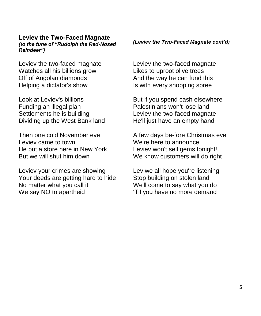#### **Leviev the Two-Faced Magnate**

*(to the tune of "Rudolph the Red-Nosed Reindeer")*

Leviev the two-faced magnate Watches all his billions grow Off of Angolan diamonds Helping a dictator's show

Look at Leviev's billions Funding an illegal plan Settlements he is building Dividing up the West Bank land

Then one cold November eve Leviev came to town He put a store here in New York But we will shut him down

Leviev your crimes are showing Your deeds are getting hard to hide No matter what you call it We say NO to apartheid

#### *(Leviev the Two-Faced Magnate cont'd)*

Leviev the two-faced magnate Likes to uproot olive trees And the way he can fund this Is with every shopping spree

But if you spend cash elsewhere Palestinians won't lose land Leviev the two-faced magnate He'll just have an empty hand

A few days be-fore Christmas eve We're here to announce. Leviev won't sell gems tonight! We know customers will do right

Lev we all hope you're listening Stop building on stolen land We'll come to say what you do 'Til you have no more demand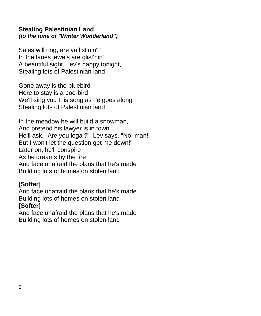#### **Stealing Palestinian Land**  *(to the tune of "Winter Wonderland")*

Sales will ring, are ya list'nin'? In the lanes jewels are glist'nin' A beautiful sight, Lev's happy tonight, Stealing lots of Palestinian land

Gone away is the bluebird Here to stay is a boo-bird We'll sing you this song as he goes along Stealing lots of Palestinian land

In the meadow he will build a snowman, And pretend his lawyer is in town He'll ask, "Are you legal?" Lev says, "No, man! But I won't let the question get me down!" Later on, he'll conspire As he dreams by the fire And face unafraid the plans that he's made Building lots of homes on stolen land

#### **[Softer]**

And face unafraid the plans that he's made Building lots of homes on stolen land **[Softer]**

And face unafraid the plans that he's made Building lots of homes on stolen land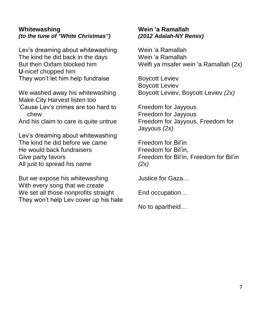#### **Whitewashing** *(to the tune of "White Christmas")*

Lev's dreaming about whitewashing The kind he did back in the days But then Oxfam blocked him **U**-nicef chopped him They won't let him help fundraise

We washed away his whitewashing Make City Harvest listen too 'Cause Lev's crimes are too hard to chew And his claim to care is quite untrue

Lev's dreaming about whitewashing The kind he did before we came He would back fundraisers Give party favors All just to spread his name

But we expose his whitewashing With every song that we create We set all those nonprofits straight They won't help Lev cover up his hate

#### **Wein 'a Ramallah**  *(2012 Adalah-NY Remix)*

Wein 'a Ramallah Wein 'a Ramallah Welfi ya msafer wein 'a Ramallah (2x)

Boycott Leviev Boycott Leviev Boycott Leviev, Boycott Leviev *(2x)*

Freedom for Jayyous Freedom for Jayyous Freedom for Jayyous, Freedom for Jayyous *(2x)*

Freedom for Bil'in Freedom for Bil'in, Freedom for Bil'in, Freedom for Bil'in *(2x)*

Justice for Gaza…

End occupation…

No to apartheid…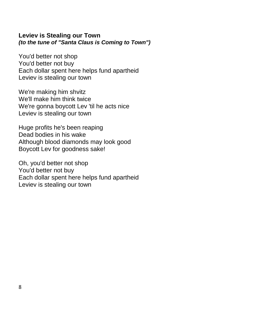#### **Leviev is Stealing our Town** *(to the tune of "Santa Claus is Coming to Town")*

You'd better not shop You'd better not buy Each dollar spent here helps fund apartheid Leviev is stealing our town

We're making him shvitz We'll make him think twice We're gonna boycott Lev 'til he acts nice Leviev is stealing our town

Huge profits he's been reaping Dead bodies in his wake Although blood diamonds may look good Boycott Lev for goodness sake!

Oh, you'd better not shop You'd better not buy Each dollar spent here helps fund apartheid Leviev is stealing our town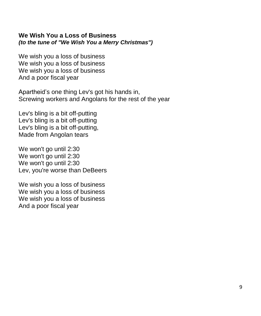#### **We Wish You a Loss of Business**  *(to the tune of "We Wish You a Merry Christmas")*

We wish you a loss of business We wish you a loss of business We wish you a loss of business And a poor fiscal year

Apartheid's one thing Lev's got his hands in, Screwing workers and Angolans for the rest of the year

Lev's bling is a bit off-putting Lev's bling is a bit off-putting Lev's bling is a bit off-putting, Made from Angolan tears

We won't go until 2:30 We won't go until 2:30 We won't go until 2:30 Lev, you're worse than DeBeers

We wish you a loss of business We wish you a loss of business We wish you a loss of business And a poor fiscal year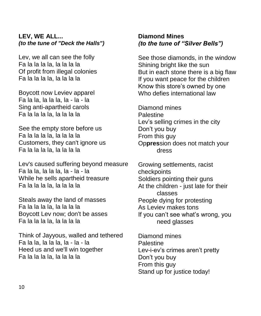#### **LEV, WE ALL...**  *(to the tune of "Deck the Halls")*

Lev, we all can see the folly Fa la la la la, la la la la Of profit from illegal colonies Fa la la la la, la la la la

Boycott now Leviev apparel Fa la la, la la la, la - la - la Sing anti-apartheid carols Fa la la la la, la la la la

See the empty store before us Fa la la la la, la la la la Customers, they can't ignore us Fa la la la la, la la la la

Lev's caused suffering beyond measure Fa la la, la la la, la - la - la While he sells apartheid treasure Fa la la la la, la la la la

Steals away the land of masses Fa la la la la, la la la la Boycott Lev now; don't be asses Fa la la la la, la la la la

Think of Jayyous, walled and tethered Fa la la, la la la, la - la - la Heed us and we'll win together Fa la la la la, la la la la

#### **Diamond Mines**  *(to the tune of "Silver Bells")*

See those diamonds, in the window Shining bright like the sun But in each stone there is a big flaw If you want peace for the children Know this store's owned by one Who defies international law

Diamond mines **Palestine** Lev's selling crimes in the city Don't you buy From this guy Op**pres**sion does not match your dress

Growing settlements, racist checkpoints Soldiers pointing their guns At the children - just late for their classes People dying for protesting As Leviev makes tons If you can't see what's wrong, you need glasses

Diamond mines **Palestine** Lev-i-ev's crimes aren't pretty Don't you buy From this guy Stand up for justice today!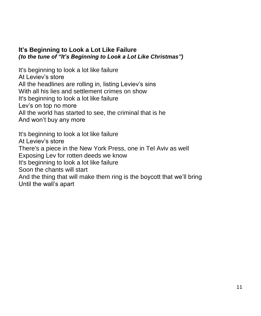#### **It's Beginning to Look a Lot Like Failure** *(to the tune of "It's Beginning to Look a Lot Like Christmas")*

It's beginning to look a lot like failure At Leviev's store All the headlines are rolling in, listing Leviev's sins With all his lies and settlement crimes on show It's beginning to look a lot like failure Lev's on top no more All the world has started to see, the criminal that is he And won't buy any more

It's beginning to look a lot like failure At Leviev's store There's a piece in the New York Press, one in Tel Aviv as well Exposing Lev for rotten deeds we know It's beginning to look a lot like failure Soon the chants will start And the thing that will make them ring is the boycott that we'll bring Until the wall's apart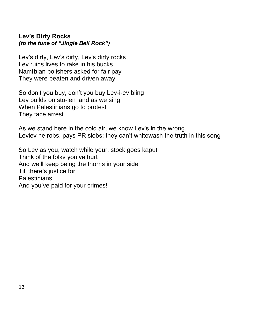#### **Lev's Dirty Rocks**  *(to the tune of "Jingle Bell Rock")*

Lev's dirty, Lev's dirty, Lev's dirty rocks Lev ruins lives to rake in his bucks Nam**ib**ian polishers asked for fair pay They were beaten and driven away

So don't you buy, don't you buy Lev-i-ev bling Lev builds on sto-len land as we sing When Palestinians go to protest They face arrest

As we stand here in the cold air, we know Lev's in the wrong. Leviev he robs, pays PR slobs; they can't whitewash the truth in this song

So Lev as you, watch while your, stock goes kaput Think of the folks you've hurt And we'll keep being the thorns in your side Til' there's justice for **Palestinians** And you've paid for your crimes!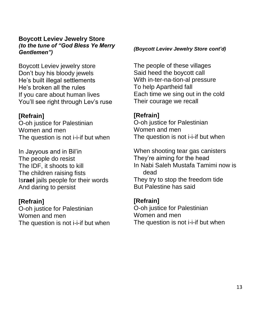#### **Boycott Leviev Jewelry Store** *(to the tune of "God Bless Ye Merry Gentlemen")*

Boycott Leviev jewelry store Don't buy his bloody jewels He's built illegal settlements He's broken all the rules If you care about human lives You'll see right through Lev's ruse

#### **[Refrain]**

O-oh justice for Palestinian Women and men The question is not *i*-*i*-if but when

In Jayyous and in Bil'in The people do resist The IDF, it shoots to kill The children raising fists Is**rael** jails people for their words And daring to persist

#### **[Refrain]**

O-oh justice for Palestinian Women and men The question is not *i*-*i*-if but when

#### *(Boycott Leviev Jewelry Store cont'd)*

The people of these villages Said heed the boycott call With in-ter-na-tion-al pressure To help Apartheid fall Each time we sing out in the cold Their courage we recall

#### **[Refrain]**

O-oh justice for Palestinian Women and men The question is not i-i-if but when

When shooting tear gas canisters They're aiming for the head In Nabi Saleh Mustafa Tamimi now is dead They try to stop the freedom tide But Palestine has said

#### **[Refrain]**

O-oh justice for Palestinian Women and men The question is not i-i-if but when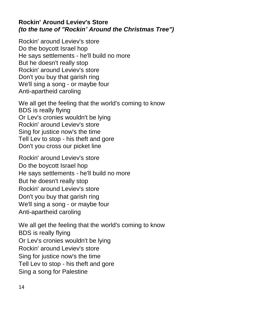#### **Rockin' Around Leviev's Store** *(to the tune of "Rockin' Around the Christmas Tree")*

Rockin' around Leviev's store Do the boycott Israel hop He says settlements - he'll build no more But he doesn't really stop Rockin' around Leviev's store Don't you buy that garish ring We'll sing a song - or maybe four Anti-apartheid caroling

We all get the feeling that the world's coming to know BDS is really flying Or Lev's cronies wouldn't be lying Rockin' around Leviev's store Sing for justice now's the time Tell Lev to stop - his theft and gore Don't you cross our picket line

Rockin' around Leviev's store Do the boycott Israel hop He says settlements - he'll build no more But he doesn't really stop Rockin' around Leviev's store Don't you buy that garish ring We'll sing a song - or maybe four Anti-apartheid caroling

We all get the feeling that the world's coming to know BDS is really flying Or Lev's cronies wouldn't be lying Rockin' around Leviev's store Sing for justice now's the time Tell Lev to stop - his theft and gore Sing a song for Palestine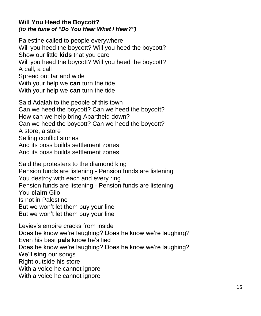#### **Will You Heed the Boycott?** *(to the tune of "Do You Hear What I Hear?")*

Palestine called to people everywhere Will you heed the boycott? Will you heed the boycott? Show our little **kids** that you care Will you heed the boycott? Will you heed the boycott? A call, a call Spread out far and wide With your help we **can** turn the tide With your help we **can** turn the tide

Said Adalah to the people of this town Can we heed the boycott? Can we heed the boycott? How can we help bring Apartheid down? Can we heed the boycott? Can we heed the boycott? A store, a store Selling conflict stones And its boss builds settlement zones And its boss builds settlement zones

Said the protesters to the diamond king Pension funds are listening - Pension funds are listening You destroy with each and every ring Pension funds are listening - Pension funds are listening You **claim** Gilo Is not in Palestine But we won't let them buy your line But we won't let them buy your line

Leviev's empire cracks from inside Does he know we're laughing? Does he know we're laughing? Even his best **pals** know he's lied Does he know we're laughing? Does he know we're laughing? We'll **sing** our songs Right outside his store With a voice he cannot ignore With a voice he cannot ignore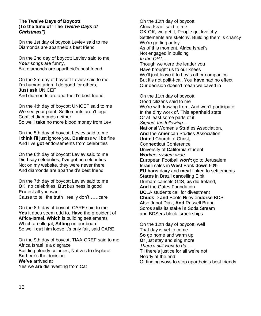#### **The Twelve Days of Boycott (To the tune of "The** *Twelve Days of Christmas")*

On the 1st day of boycott Leviev said to me Diamonds are apartheid's best friend

On the 2nd day of boycott Leviev said to me *Your* songs are funny, But diamonds are apartheid's best friend

On the 3rd day of boycott Leviev said to me I'm humanitarian, I do good for others, **Just ask** UNICEF And diamonds are apartheid's best friend

On the 4th day of boycott UNICEF said to me We see your point, Settlements aren't legal Conflict diamonds neither So we'll **take** no more blood money from Lev

On the 5th day of boycott Leviev said to me I **think** I'll just ignore you, **Bus**iness will be fine And I've **got** endorsements from celebrities

On the 6th day of boycott Leviev said to me Did **I** say celebrities, **I've** got no celebrities Not on my website, they were never there And diamonds are apartheid's best friend

On the 7th day of boycott Leviev said to me **O**K, no celebrities, **But** business is good **Pro**test all you want Cause to tell the truth I really don't……care

On the 8th day of boycott CARE said to me **Yes** it does seem odd to, **Have** the president of **Af**rica-Israel, **Which** is building settlements Which are illegal, **Sitting** on our board So we'll **cut** him loose it's only fair, said CARE

On the 9th day of boycott TIAA-CREF said to me Africa Israel is a disgrace Building bloody colonies, Natives to displace **So** here's the decision **We've** arrived at Yes we **are** disinvesting from Cat

On the 10th day of boycott Africa Israel said to me O**K** O**K**, we get it, People get kvetchy Settlements are sketchy, Building them is chancy We're getting antsy As of this moment, Africa Israel's Not engaged in building *In the OPT….* Though we were the leader you Have brought us to our knees We'll just leave it to Lev's other companies But it's not polit-i-cal, You **have** had no effect Our decision doesn't mean we caved in

On the 11th day of boycott Good citizens said to me We're withdrawing from, And won't participate In the dirty work of, This apartheid state Or at least some parts of it *Signed, the following…* **Nat**ional Women's **Stud**ies **A**ssociation, **And** the A**mer**ican Studies **A**ssociation U**nite**d Church of Christ, Con**nect**icut Conference **U**niversity of **Cal**ifornia student *Workers system-wide* **Eur**opean Football **won't** go to Jerusalem Is**rael**i sales in **West** Bank **down** 50% **EU bans** dairy and **meat** linked to settlements **States** in Brazil **can**celling Elbit Durham cancels G4S, **as** did Ireland, **And** the Gates Foundation **UC**LA students call for divestment **Chuck** D **and** Boots **Ri**ley en**dorse** BDS **Al**so Junot Diaz, **And** Russell Brand Soros sells its stake **in** Soda Stream and BDSers block Israeli ships

On the 12th day of boycott, well That day is yet to come **So** go home and warm up **Or** just stay and sing more *There's still work to do….* Til there's justice for all we're not Nearly at the end Of finding ways to stop apartheid's best friends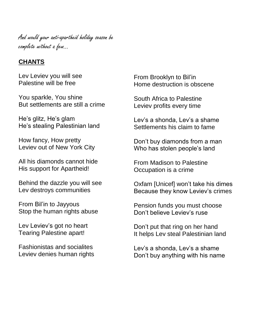And would your anti-apartheid holiday season be complete without a few…

#### **CHANTS**

Lev Leviev you will see Palestine will be free

You sparkle, You shine But settlements are still a crime

He's glitz, He's glam He's stealing Palestinian land

How fancy, How pretty Leviev out of New York City

All his diamonds cannot hide His support for Apartheid!

Behind the dazzle you will see Lev destroys communities

From Bil'in to Jayyous Stop the human rights abuse

Lev Leviev's got no heart Tearing Palestine apart!

Fashionistas and socialites Leviev denies human rights From Brooklyn to Bil'in Home destruction is obscene

South Africa to Palestine Leviev profits every time

Lev's a shonda, Lev's a shame Settlements his claim to fame

Don't buy diamonds from a man Who has stolen people's land

From Madison to Palestine Occupation is a crime

Oxfam [Unicef] won't take his dimes Because they know Leviev's crimes

Pension funds you must choose Don't believe Leviev's ruse

Don't put that ring on her hand It helps Lev steal Palestinian land

Lev's a shonda, Lev's a shame Don't buy anything with his name